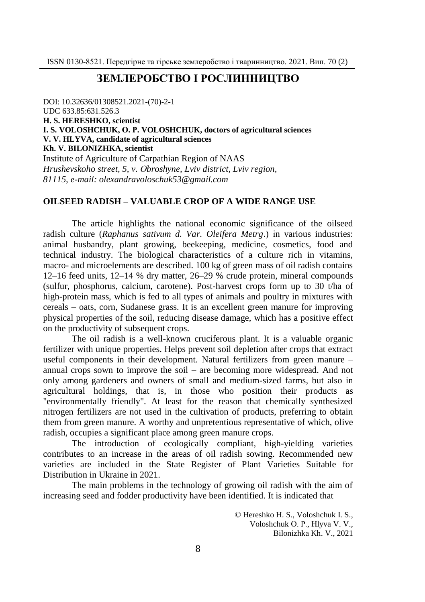# **ЗЕМЛЕРОБСТВО І РОСЛИННИЦТВО**

DOI: 10.32636/01308521.2021-(70)-2-1 UDC 633.85:631.526.3 **H. S. HERESHKO, scientist І. S. VOLOSHCHUK, О. P. VOLOSHCHUK, doctors of agricultural sciences V. V. HLYVA, candidate of agricultural sciences Kh. V. BILONIZHKA, scientist** Institute of Agriculture of Carpathian Region of NAAS *Hrushevskoho street, 5, v. Оbroshyne, Lviv district, Lviv region, 81115, e-mail: olexandravoloschuk53@gmail.com*

## **OILSEED RADISH – VALUABLE CROP OF A WIDE RANGE USE**

The article highlights the national economic significance of the oilseed radish culture (*Raphanus sativum d. Var. Oleifera Metrg*.) іn various industries: animal husbandry, plant growing, beekeeping, medicine, cosmetics, food and technical industry. The biological characteristics of a culture rich in vitamins, macro- and microelements are described. 100 kg of green mass of oil radish contains 12–16 feed units, 12–14 % dry matter, 26–29 % crude protein, mineral compounds (sulfur, phosphorus, calcium, carotene). Post-harvest crops form up to 30 t/ha of high-protein mass, which is fed to all types of animals and poultry in mixtures with cereals – oats, corn, Sudanese grass. It is an excellent green manure for improving physical properties of the soil, reducing disease damage, which has a positive effect on the productivity of subsequent crops.

The oil radish is a well-known cruciferous plant. It is a valuable organic fertilizer with unique properties. Helps prevent soil depletion after crops that extract useful components in their development. Natural fertilizers from green manure – annual crops sown to improve the soil – are becoming more widespread. And not only among gardeners and owners of small and medium-sized farms, but also in agricultural holdings, that is, in those who position their products as "environmentally friendly". At least for the reason that chemically synthesized nitrogen fertilizers are not used in the cultivation of products, preferring to obtain them from green manure. A worthy and unpretentious representative of which, olive radish, occupies a significant place among green manure crops.

The introduction of ecologically compliant, high-yielding varieties contributes to an increase in the areas of oil radish sowing. Recommended new varieties are included in the State Register of Plant Varieties Suitable for Distribution in Ukraine in 2021.

The main problems in the technology of growing oil radish with the aim of increasing seed and fodder productivity have been identified. It is indicated that

> © Hereshko H. S., Voloshchuk І. S., Voloshchuk О. P., Hlyva V. V., Bilonizhka Kh. V., 2021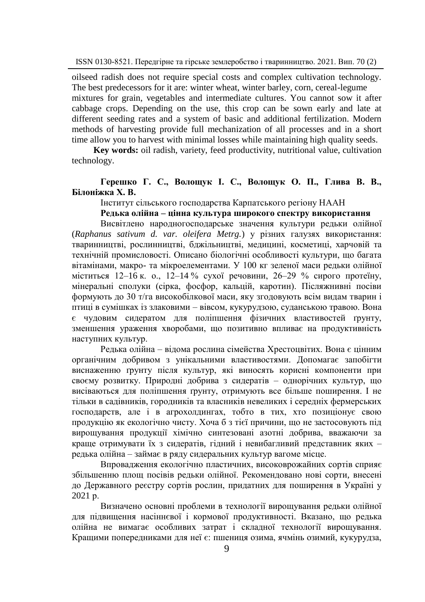oilseed radish does not require special costs and complex cultivation technology. The best predecessors for it are: winter wheat, winter barley, corn, cereal-legume mixtures for grain, vegetables and intermediate cultures. You cannot sow it after cabbage crops. Depending on the use, this crop can be sown early and late at different seeding rates and a system of basic and additional fertilization. Modern methods of harvesting provide full mechanization of all processes and in a short time allow you to harvest with minimal losses while maintaining high quality seeds.

**Key words:** oil radish, variety, feed productivity, nutritional value, cultivation technology.

# **Герешко Г. С., Волощук І. С., Волощук О. П., Глива В. В., Білоніжка Х. В.**

Інститут сільського господарства Карпатського регіону НААН

### **Редька олійна – цінна культура широкого спектру використання**

Висвітлено народногосподарське значення культури редьки олійної (*Raphanus sativum d. var. oleifera Metrg.*) у різних галузях використання: тваринництві, рослинництві, бджільництві, медицині, косметиці, харчовій та технічній промисловості. Описано біологічні особливості культури, що багата вітамінами, макро- та мікроелементами. У 100 кг зеленої маси редьки олійної міститься 12–16 к. о., 12–14 % сухої речовини, 26–29 % сирого протеїну, мінеральні сполуки (сірка, фосфор, кальцій, каротин). Післяжнивні посіви формують до 30 т/га високобілкової маси, яку згодовують всім видам тварин і птиці в сумішках із злаковими – вівсом, кукурудзою, суданською травою. Вона є чудовим сидератом для поліпшення фізичних властивостей ґрунту, зменшення ураження хворобами, що позитивно впливає на продуктивність наступних культур.

Редька олійна – відома рослина сімейства Хрестоцвітих. Вона є цінним органічним добривом з унікальними властивостями. Допомагає запобігти виснаженню ґрунту після культур, які виносять корисні компоненти при своєму розвитку. Природні добрива з сидератів – однорічних культур, що висіваються для поліпшення ґрунту, отримують все більше поширення. І не тільки в садівників, городників та власників невеликих і середніх фермерських господарств, але і в агрохолдингах, тобто в тих, хто позиціонує свою продукцію як екологічно чисту. Хоча б з тієї причини, що не застосовують під вирощування продукції хімічно синтезовані азотні добрива, вважаючи за краще отримувати їх з сидератів, гідний і невибагливий представник яких редька олійна – займає в ряду сидеральних культур вагоме місце.

Впровадження екологічно пластичних, високоврожайних сортів сприяє збільшенню площ посівів редьки олійної. Рекомендовано нові сорти, внесені до Державного реєстру сортів рослин, придатних для поширення в Україні у 2021 р.

Визначено основні проблеми в технології вирощування редьки олійної для підвищення насіннєвої і кормової продуктивності. Вказано, що редька олійна не вимагає особливих затрат і складної технології вирощування. Кращими попередниками для неї є: пшениця озима, ячмінь озимий, кукурудза,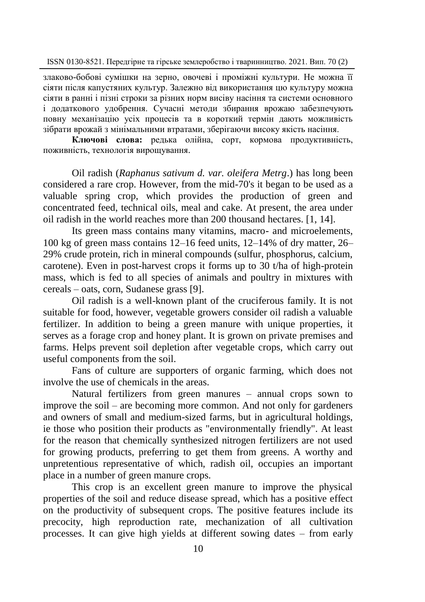злаково-бобові сумішки на зерно, овочеві і проміжні культури. Не можна її сіяти після капустяних культур. Залежно від використання цю культуру можна сіяти в ранні і пізні строки за різних норм висіву насіння та системи основного і додаткового удобрення. Сучасні методи збирання врожаю забезпечують повну механізацію усіх процесів та в короткий термін дають можливість зібрати врожай з мінімальними втратами, зберігаючи високу якість насіння.

**Ключові слова:** редька олійна, сорт, кормова продуктивність, поживність, технологія вирощування.

Oil radish (*Raphanus sativum d. var. oleifera Metrg*.) has long been considered a rare crop. However, from the mid-70's it began to be used as a valuable spring crop, which provides the production of green and concentrated feed, technical oils, meal and cake. At present, the area under oil radish in the world reaches more than 200 thousand hectares. [1, 14].

Its green mass contains many vitamins, macro- and microelements, 100 kg of green mass contains 12–16 feed units, 12–14% of dry matter, 26– 29% crude protein, rich in mineral compounds (sulfur, phosphorus, calcium, carotene). Even in post-harvest crops it forms up to 30 t/ha of high-protein mass, which is fed to all species of animals and poultry in mixtures with cereals – oats, corn, Sudanese grass [9].

Oil radish is a well-known plant of the cruciferous family. It is not suitable for food, however, vegetable growers consider oil radish a valuable fertilizer. In addition to being a green manure with unique properties, it serves as a forage crop and honey plant. It is grown on private premises and farms. Helps prevent soil depletion after vegetable crops, which carry out useful components from the soil.

Fans of culture are supporters of organic farming, which does not involve the use of chemicals in the areas.

Natural fertilizers from green manures – annual crops sown to improve the soil – are becoming more common. And not only for gardeners and owners of small and medium-sized farms, but in agricultural holdings, ie those who position their products as "environmentally friendly". At least for the reason that chemically synthesized nitrogen fertilizers are not used for growing products, preferring to get them from greens. A worthy and unpretentious representative of which, radish oil, occupies an important place in a number of green manure crops.

This crop is an excellent green manure to improve the physical properties of the soil and reduce disease spread, which has a positive effect on the productivity of subsequent crops. The positive features include its precocity, high reproduction rate, mechanization of all cultivation processes. It can give high yields at different sowing dates – from early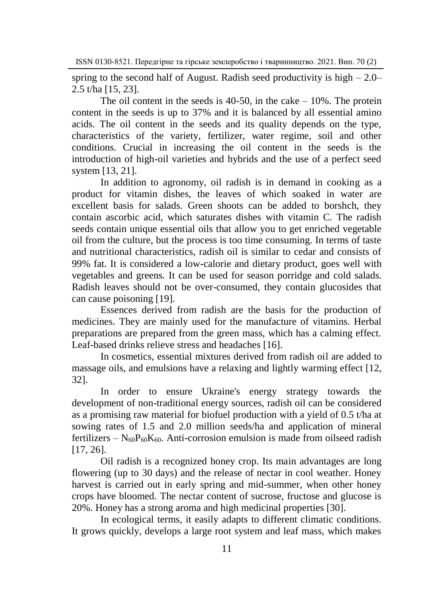spring to the second half of August. Radish seed productivity is high  $-2.0-$ 2.5 t/ha [15, 23].

The oil content in the seeds is  $40-50$ , in the cake  $-10\%$ . The protein content in the seeds is up to 37% and it is balanced by all essential amino acids. The oil content in the seeds and its quality depends on the type, characteristics of the variety, fertilizer, water regime, soil and other conditions. Crucial in increasing the oil content in the seeds is the introduction of high-oil varieties and hybrids and the use of a perfect seed system [13, 21].

In addition to agronomy, oil radish is in demand in cooking as a product for vitamin dishes, the leaves of which soaked in water are excellent basis for salads. Green shoots can be added to borshch, they contain ascorbic acid, which saturates dishes with vitamin C. The radish seeds contain unique essential oils that allow you to get enriched vegetable oil from the culture, but the process is too time consuming. In terms of taste and nutritional characteristics, radish oil is similar to cedar and consists of 99% fat. It is considered a low-calorie and dietary product, goes well with vegetables and greens. It can be used for season porridge and cold salads. Radish leaves should not be over-consumed, they contain glucosides that can cause poisoning [19].

Essences derived from radish are the basis for the production of medicines. They are mainly used for the manufacture of vitamins. Herbal preparations are prepared from the green mass, which has a calming effect. Leaf-based drinks relieve stress and headaches [16].

In cosmetics, essential mixtures derived from radish oil are added to massage oils, and emulsions have a relaxing and lightly warming effect [12, 32].

In order to ensure Ukraine's energy strategy towards the development of non-traditional energy sources, radish oil can be considered as a promising raw material for biofuel production with a yield of 0.5 t/ha at sowing rates of 1.5 and 2.0 million seeds/ha and application of mineral fertilizers –  $N_{60}P_{60}K_{60}$ . Anti-corrosion emulsion is made from oilseed radish [17, 26].

Oil radish is a recognized honey crop. Its main advantages are long flowering (up to 30 days) and the release of nectar in cool weather. Honey harvest is carried out in early spring and mid-summer, when other honey crops have bloomed. The nectar content of sucrose, fructose and glucose is 20%. Honey has a strong aroma and high medicinal properties [30].

In ecological terms, it easily adapts to different climatic conditions. It grows quickly, develops a large root system and leaf mass, which makes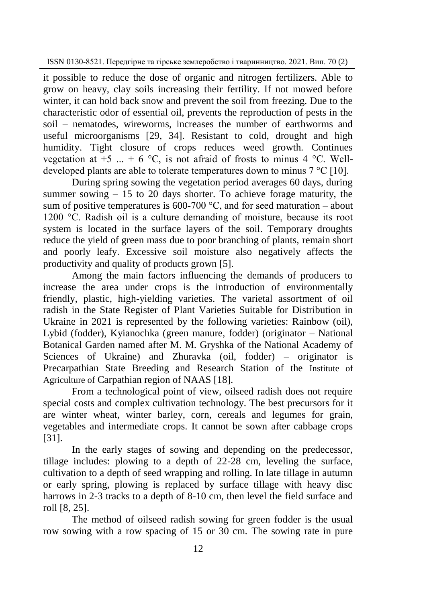it possible to reduce the dose of organic and nitrogen fertilizers. Able to grow on heavy, clay soils increasing their fertility. If not mowed before winter, it can hold back snow and prevent the soil from freezing. Due to the characteristic odor of essential oil, prevents the reproduction of pests in the soil – nematodes, wireworms, increases the number of earthworms and useful microorganisms [29, 34]. Resistant to cold, drought and high humidity. Tight closure of crops reduces weed growth. Continues vegetation at  $+5$  ...  $+6$  °C, is not afraid of frosts to minus 4 °C. Welldeveloped plants are able to tolerate temperatures down to minus  $7^{\circ}$ C [10].

During spring sowing the vegetation period averages 60 days, during summer sowing  $-15$  to 20 days shorter. To achieve forage maturity, the sum of positive temperatures is 600-700  $\degree$ C, and for seed maturation – about 1200 °C. Radish oil is a culture demanding of moisture, because its root system is located in the surface layers of the soil. Temporary droughts reduce the yield of green mass due to poor branching of plants, remain short and poorly leafy. Excessive soil moisture also negatively affects the productivity and quality of products grown [5].

Among the main factors influencing the demands of producers to increase the area under crops is the introduction of environmentally friendly, plastic, high-yielding varieties. The varietal assortment of oil radish in the State Register of Plant Varieties Suitable for Distribution in Ukraine in 2021 is represented by the following varieties: Rainbow (oil), Lybid (fodder), Kyianochka (green manure, fodder) (originator – National Botanical Garden named after M. M. Gryshka of the National Academy of Sciences of Ukraine) and Zhuravka (oil, fodder) – originator is Precarpathian State Breeding and Research Station of the Institute of Agriculture of Carpathian region of NAAS [18].

From a technological point of view, oilseed radish does not require special costs and complex cultivation technology. The best precursors for it are winter wheat, winter barley, corn, cereals and legumes for grain, vegetables and intermediate crops. It cannot be sown after cabbage crops [31].

In the early stages of sowing and depending on the predecessor, tillage includes: plowing to a depth of 22-28 cm, leveling the surface, cultivation to a depth of seed wrapping and rolling. In late tillage in autumn or early spring, plowing is replaced by surface tillage with heavy disc harrows in 2-3 tracks to a depth of 8-10 cm, then level the field surface and roll [8, 25].

The method of oilseed radish sowing for green fodder is the usual row sowing with a row spacing of 15 or 30 cm. The sowing rate in pure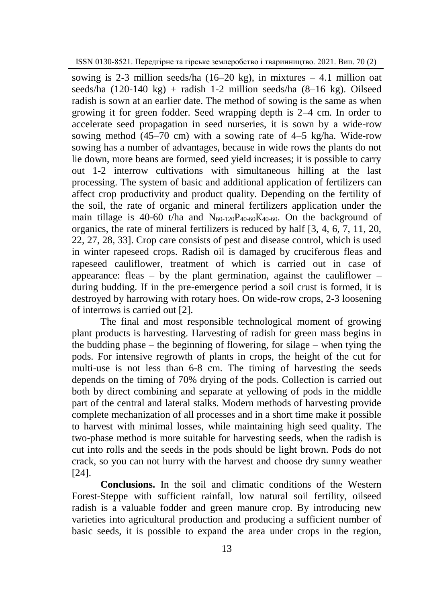sowing is 2-3 million seeds/ha  $(16–20 \text{ kg})$ , in mixtures  $-4.1$  million oat seeds/ha  $(120-140 \text{ kg})$  + radish 1-2 million seeds/ha  $(8-16 \text{ kg})$ . Oilseed radish is sown at an earlier date. The method of sowing is the same as when growing it for green fodder. Seed wrapping depth is 2–4 cm. In order to accelerate seed propagation in seed nurseries, it is sown by a wide-row sowing method  $(45-70 \text{ cm})$  with a sowing rate of  $4-5$  kg/ha. Wide-row sowing has a number of advantages, because in wide rows the plants do not lie down, more beans are formed, seed yield increases; it is possible to carry out 1-2 interrow cultivations with simultaneous hilling at the last processing. The system of basic and additional application of fertilizers can affect crop productivity and product quality. Depending on the fertility of the soil, the rate of organic and mineral fertilizers application under the main tillage is 40-60 t/ha and  $N_{60-120}P_{40-60}K_{40-60}$ . On the background of organics, the rate of mineral fertilizers is reduced by half [3, 4, 6, 7, 11, 20, 22, 27, 28, 33]. Crop care consists of pest and disease control, which is used in winter rapeseed crops. Radish oil is damaged by cruciferous fleas and rapeseed cauliflower, treatment of which is carried out in case of appearance: fleas – by the plant germination, against the cauliflower – during budding. If in the pre-emergence period a soil crust is formed, it is destroyed by harrowing with rotary hoes. On wide-row crops, 2-3 loosening of interrows is carried out [2].

The final and most responsible technological moment of growing plant products is harvesting. Harvesting of radish for green mass begins in the budding phase – the beginning of flowering, for silage – when tying the pods. For intensive regrowth of plants in crops, the height of the cut for multi-use is not less than 6-8 cm. The timing of harvesting the seeds depends on the timing of 70% drying of the pods. Collection is carried out both by direct combining and separate at yellowing of pods in the middle part of the central and lateral stalks. Modern methods of harvesting provide complete mechanization of all processes and in a short time make it possible to harvest with minimal losses, while maintaining high seed quality. The two-phase method is more suitable for harvesting seeds, when the radish is cut into rolls and the seeds in the pods should be light brown. Pods do not crack, so you can not hurry with the harvest and choose dry sunny weather [24].

**Conclusions.** In the soil and climatic conditions of the Western Forest-Steppe with sufficient rainfall, low natural soil fertility, oilseed radish is a valuable fodder and green manure crop. By introducing new varieties into agricultural production and producing a sufficient number of basic seeds, it is possible to expand the area under crops in the region,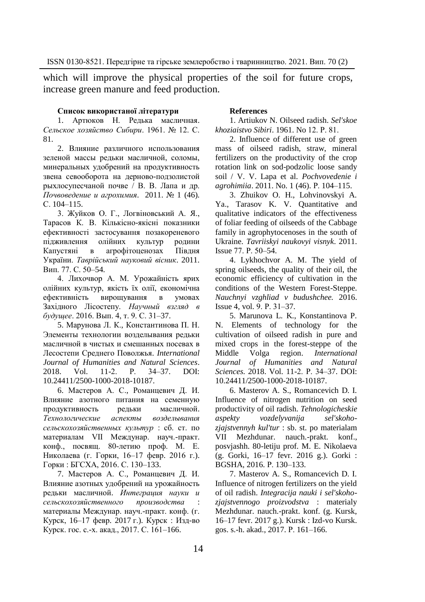which will improve the physical properties of the soil for future crops, increase green manure and feed production.

#### **Список використаної літератури**

1. Артюков Н. Редька масличная. *Сельское хозяйство Сибири*. 1961. № 12. С. 81.

2. Влияние различного использования зеленой массы редьки масличной, соломы, минеральных удобрений на продуктивность звена севооборота на дерново-подзолистой рыхлосупесчаной почве / В. В. Лапа и др. *Почвоведение и агрохимия*. 2011. № 1 (46). С. 104–115.

3. Жуйков О. Г., Логвіновський А. Я., Тарасов К. В. Кількісно-якісні показники ефективності застосування позакореневого підживлення олійних культур родини Капустяні в агрофітоценозах Півдня України. *Таврійський науковий вісник*. 2011. Вип. 77. С. 50–54.

4. Лихочвор А. М. Урожайність ярих олійних культур, якість їх олії, економічна ефективність вирощування в умовах Західного Лісостепу. *Научный взгляд в будущее*. 2016. Вып. 4, т. 9. С. 31–37.

5. Марунова Л. К., Константинова П. Н. Элементы технологии возделывания редьки масличной в чистых и смешанных посевах в Лесостепи Среднего Поволжья. *International Journal of Humanities and Natural Sciences*. 2018. Vol. 11-2. Р. 34–37. DOI: 10.24411/2500-1000-2018-10187.

6. Мастеров А. С., Романцевич Д. И. Влияние азотного питания на семенную продуктивность редьки масличной. *Технологические аспекты возделывания сельскохозяйственных культур* : сб. ст. по материалам VII Междунар. науч.-практ. конф., посвящ. 80-летию проф. М. Е. Николаева (г. Горки, 16–17 февр. 2016 г.). Горки : БГСХА, 2016. С. 130–133.

7. Мастеров А. С., Романцевич Д. И. Влияние азотных удобрений на урожайность редьки масличной. *Интеграция науки и сельскохозяйственного производства* : материалы Междунар. науч.-практ. конф. (г. Курск, 16–17 февр. 2017 г.). Курск : Изд-во Курск. гос. с.-х. акад., 2017. С. 161–166.

#### **References**

1. Artiukov N. Oilseed radish. *Sel'skoe khoziaistvo Sibiri*. 1961. No 12. Р. 81.

2. Influence of different use of green mass of oilseed radish, straw, mineral fertilizers on the productivity of the crop rotation link on sod-podzolic loose sandy soil / V. V. Lapa et al. *Pochvovedenie i agrohimiia*. 2011. No. 1 (46). Р. 104–115.

3. Zhuikov O. H., Lohvinovskyi A. Ya., Tarasov K. V. Quantitative and qualitative indicators of the effectiveness of foliar feeding of oilseeds of the Cabbage family in agrophytocenoses in the south of Ukraine. *Tavriiskyi naukovyi visnyk*. 2011. Issue 77. Р. 50–54.

4. Lykhochvor A. M. The yield of spring oilseeds, the quality of their oil, the economic efficiency of cultivation in the conditions of the Western Forest-Steppe. *Nauchnyi vzghliad v budushchee.* 2016. Issue 4, vol. 9. Р. 31–37.

5. Marunova L. K., Konstantinova P. N. Elements of technology for the cultivation of oilseed radish in pure and mixed crops in the forest-steppe of the Middle Volga region. *International Journal of Humanities and Natural Sciences*. 2018. Vol. 11-2. Р. 34–37. DOI: 10.24411/2500-1000-2018-10187.

6. Masterov A. S., Romancevich D. I. Influence of nitrogen nutrition on seed productivity of oil radish. *Tehnologicheskie aspekty vozdelyvanija sel'skohozjajstvennyh kul'tur* : sb. st. po materialam VII Mezhdunar. nauch.-prakt. konf., posvjashh. 80-letiju prof. M. E. Nikolaeva (g. Gorki, 16–17 fevr. 2016 g.). Gorki : BGSHA, 2016. Р. 130–133.

7. Masterov A. S., Romancevich D. I. Influence of nitrogen fertilizers on the yield of oil radish. *Integracija nauki i sel'skohozjajstvennogo proizvodstva* : materialy Mezhdunar. nauch.-prakt. konf. (g. Kursk, 16–17 fevr. 2017 g.). Kursk : Izd-vo Kursk. gos. s.-h. akad., 2017. Р. 161–166.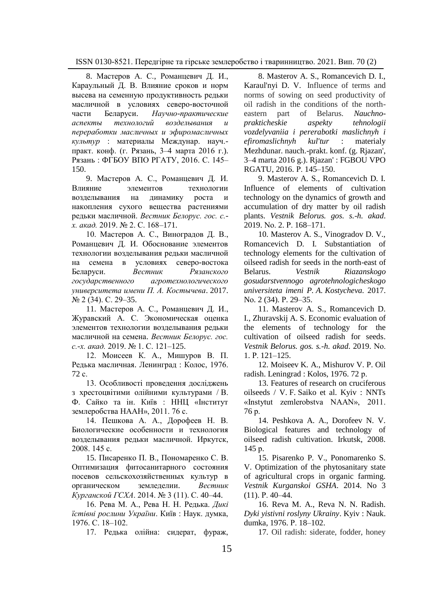8. Мастеров А. С., Романцевич Д. И., Караульный Д. В. Влияние сроков и норм высева на семенную продуктивность редьки масличной в условиях северо-восточной части Беларуси. *Научно-практические аспекты технологий возделывания и переработки масличных и эфиромасличных культур* : материалы Междунар. науч. практ. конф. (г. Рязань, 3–4 марта 2016 г.). Рязань : ФГБОУ ВПО РГАТУ, 2016. С. 145– 150.

9. Мастеров А. С., Романцевич Д. И. Влияние элементов технологии возделывания на динамику роста и накопления сухого вещества растениями редьки масличной. *Вестник Белорус. гос. с. х. акад.* 2019. № 2. С. 168–171.

10. Мастеров А. С., Виноградов Д. В., Романцевич Д. И. Обоснование элементов технологии возделывания редьки масличной на семена в условиях северо-востока Беларуси. *Вестник Рязанского государственного агротехнологического университета имени П. А. Костычева*. 2017. № 2 (34). С. 29–35.

11. Мастеров А. С., Романцевич Д. И., Журавский А. С. Экономическая оценка элементов технологии возделывания редьки масличной на семена. *Вестник Белорус. гос. с.-х. акад.* 2019. № 1. С. 121–125.

12. Моисеев К. А., Мишуров В. П. Редька масличная. Ленинград : Колос, 1976. 72 с.

13. Особливості проведення досліджень з хрестоцвітими олійними культурами / В. Ф. Сайко та ін. Київ : ННЦ «Інститут землеробства НААН», 2011. 76 с.

14. Пешкова А. А., Дорофеев Н. В. Биологические особенности и технология возделывания редьки масличной. Иркутск, 2008. 145 с.

15. Писаренко П. В., Пономаренко С. В. Оптимизация фитосанитарного состояния посевов сельскохозяйственных культур в органическом земледелии. *Вестник Курганской ГСХА*. 2014. № 3 (11). С. 40–44.

16. Рева М. А., Рева Н. Н. Редька. *[Дикі](https://chtyvo.org.ua/authors/Reva_Mykhailo_Lukych/Dyki_istivni_roslyny_Ukrainy.pdf)  [їстівні рослини України](https://chtyvo.org.ua/authors/Reva_Mykhailo_Lukych/Dyki_istivni_roslyny_Ukrainy.pdf)*. Київ : Наук. думка, 1976. С. 18‒102.

17. Редька олійна: сидерат, фураж,

8. Masterov A. S., Romancevich D. I., Karaul'nyi D. V. Influence of terms and norms of sowing on seed productivity of oil radish in the conditions of the northeastern part of Belarus. *Nauchnoprakticheskie aspekty tehnologii vozdelyvaniia i pererabotki maslichnyh i efiromaslichnyh kul'tur* : materialy Mezhdunar. nauch.-prakt. konf. (g. Rjazan', 3–4 marta 2016 g.). Rjazan' : FGBOU VPO RGATU, 2016. Р. 145–150.

9. Masterov A. S., Romancevich D. I. Influence of elements of cultivation technology on the dynamics of growth and accumulation of dry matter by oil radish plants. *Vestnik Belorus. gos. s.-h. akad*. 2019. Nо. 2. Р. 168–171.

10. Masterov A. S., Vinogradov D. V., Romancevich D. I. Substantiation of technology elements for the cultivation of oilseed radish for seeds in the north-east of Belarus. *Vestnik Riazanskogo gosudarstvennogo agrotehnologicheskogo universiteta imeni P. A. Kostycheva.* 2017. Nо. 2 (34). Р. 29–35.

11. Masterov A. S., Romancevich D. I., Zhuravskij A. S. Economic evaluation of the elements of technology for the cultivation of oilseed radish for seeds. *Vestnik Belorus. gos. s.-h. akad*. 2019. Nо. 1. Р. 121–125.

12. Moiseev K. A., Mishurov V. P. Oil radish. Leningrad : Kolos, 1976. 72 р.

13. Features of research on cruciferous oilseeds / V. F. Saiko et al. Kyiv : NNTs «Instytut zemlerobstva NAAN», 2011. 76 р.

14. Peshkova A. A., Dorofeev N. V. Biological features and technology of oilseed radish cultivation. Irkutsk, 2008. 145 р.

15. Pisarenko P. V., Ponomarenko S. V. Optimization of the phytosanitary state of agricultural crops in organic farming. *Vestnik Kurganskoi GSHA*. 2014. No 3 (11). Р. 40–44.

16. Reva M. A., Reva N. N. Radish. *Dyki yistivni roslyny Ukrainy*. Kyiv : Nauk. dumka, 1976. P. 18-102.

17. Oil radish: siderate, fodder, honey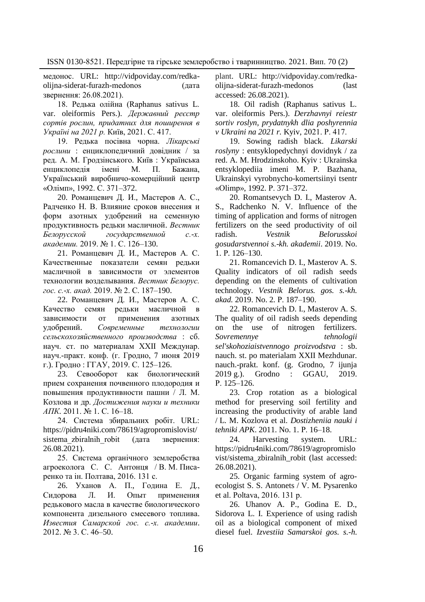медонос. URL: http://vidpoviday.com/redka-<br>oliina-siderat-furazh-medonos (лата olijna-siderat-furazh-medonos звернення: 26.08.2021).

18. Редька олійна (Raphanus sativus L. var. oleiformis Pers.). *Державний реєстр сортів рослин, придатних для поширення в Україні на 2021 р.* Київ, 2021. С. 417.

19. Редька посівна чорна. *[Лікарські](https://chtyvo.org.ua/authors/Hrodzynskyi_Andrii/Likarski_roslyny_Entsyklopedychnyi_dovidnyk.djvu)  [рослини](https://chtyvo.org.ua/authors/Hrodzynskyi_Andrii/Likarski_roslyny_Entsyklopedychnyi_dovidnyk.djvu)* : енциклопедичний довідник / за ред. А. М. Гродзінського. Київ : Українська енциклопедія імені М. П. Бажана, Український виробничо-комерційний центр «Олімп», 1992. С. 371–372.

20. Романцевич Д. И., Мастеров А. С., Радченко Н. В. Влияние сроков внесения и форм азотных удобрений на семенную продуктивность редьки масличной. *Вестник Белорусской государственной с.-х. академии.* 2019. № 1. С. 126–130.

21. Романцевич Д. И., Мастеров А. С. Качественные показатели семян редьки масличной в зависимости от элементов технологии возделывания. *Вестник Белорус. гос. с.-х. акад.* 2019. № 2. С. 187–190.

22. Романцевич Д. И., Мастеров А. С. Качество семян редьки масличной в зависимости от применения азотных удобрений. *Современные технологии сельскохозяйственного производства* : сб. науч. ст. по материалам XXII Междунар. науч.-практ. конф. (г. Гродно, 7 июня 2019 г.). Гродно : ГГАУ, 2019. С. 125–126.

23. Севооборот как биологический прием сохранения почвенного плодородия и повышения продуктивности пашни / Л. М. Козлова и др. *Достижения науки и техники АПК.* 2011. № 1. С. 16–18.

24. Система збиральних робіт. URL: https://pidru4niki.com/78619/agropromislovist/ sistema zbiralnih robit (дата звернення: 26.08.2021).

25. Система органічного землеробства агроеколога С. С. Антонця / В. М. Писаренко та ін. Полтава, 2016. 131 с.

26. Уханов А. П., Година Е. Д., Сидорова Л. И. Опыт применения редькового масла в качестве биологического компонента дизельного смесевого топлива. *Известия Самарской гос. с.-х. академии*. 2012. № 3. С. 46–50.

plant. URL: http://vidpoviday.com/redkaolijna-siderat-furazh-medonos (last accessed: 26.08.2021).

18. Oil radish (Raphanus sativus L. var. oleiformis Pers.). *Derzhavnyi reiestr sortiv roslyn, prydatnykh dlia poshyrennia v Ukraini na 2021 r.* Kyiv, 2021. Р. 417.

19. Sowing radish black. *Likarski roslyny* : entsyklopedychnyi dovidnyk / za red. A. M. Hrodzinskoho. Kyiv : Ukrainska entsyklopediia imeni M. P. Bazhana, Ukrainskyi vyrobnycho-komertsiinyi tsentr «Olimp», 1992. Р. 371–372.

20. Romantsevych D. I., Masterov A. S., Radchenko N. V. Influence of the timing of application and forms of nitrogen fertilizers on the seed productivity of oil radish. *Vestnik Belorusskoi gosudarstvennoi s.-kh. akademii*. 2019. No. 1. Р. 126–130.

21. Romancevich D. I., Masterov A. S. Quality indicators of oil radish seeds depending on the elements of cultivation technology. *Vestnik Belorus. gos. s.-kh. akad.* 2019. No. 2. Р. 187–190.

22. Romancevich D. I., Masterov A. S. The quality of oil radish seeds depending on the use of nitrogen fertilizers. *Sovremennye tehnologii sel'skohoziaistvennogo proizvodstva* : sb. nauch. st. po materialam XXII Mezhdunar. nauch.-prakt. konf. (g. Grodno, 7 ijunja<br>2019 g.). Grodno : GGAU, 2019. Grodno : GGAU, 2019. Р. 125–126.

23. Crop rotation as a biological method for preserving soil fertility and increasing the productivity of arable land / L. M. Kozlova et al. *Dostizheniia nauki i tehniki APK*. 2011. No. 1. Р. 16–18.

24. Harvesting system. URL: https://pidru4niki.com/78619/agropromislo vist/sistema\_zbiralnih\_robit (last accessed: 26.08.2021).

25. Organic farming system of agroecologist S. S. Antonets / V. M. Pysarenko et al. Poltava, 2016. 131 р.

26. Uhanov A. P., Godina E. D., Sidorova L. I. Experience of using radish oil as a biological component of mixed diesel fuel. *Izvestiia Samarskoi gos. s.-h.*